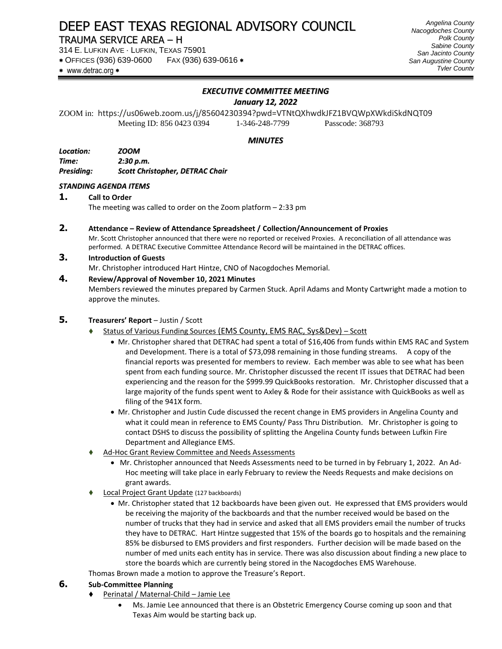# DEEP EAST TEXAS REGIONAL ADVISORY COUNCIL

## TRAUMA SERVICE AREA – H

314 E. LUFKIN AVE · LUFKIN, TEXAS 75901

OFFICES (936) 639-0600 FAX (936) 639-0616

\* www.detrac.org \*

## *EXECUTIVE COMMITTEE MEETING*

*January 12, 2022*

ZOOM in: https://us06web.zoom.us/j/85604230394?pwd=VTNtQXhwdkJFZ1BVQWpXWkdiSkdNQT09 Meeting ID: 856 0423 0394 1-346-248-7799 Passcode: 368793

### *MINUTES*

| Location:         | <i>ZOOM</i>                            |
|-------------------|----------------------------------------|
| Time:             | 2:30 p.m.                              |
| <b>Presiding:</b> | <b>Scott Christopher, DETRAC Chair</b> |

## *STANDING AGENDA ITEMS*

#### **1. Call to Order**

The meeting was called to order on the Zoom platform – 2:33 pm

**2. Attendance – Review of Attendance Spreadsheet / Collection/Announcement of Proxies** Mr. Scott Christopher announced that there were no reported or received Proxies. A reconciliation of all attendance was performed. A DETRAC Executive Committee Attendance Record will be maintained in the DETRAC offices.

#### **3. Introduction of Guests**

Mr. Christopher introduced Hart Hintze, CNO of Nacogdoches Memorial.

## **4. Review/Approval of November 10, 2021 Minutes**

Members reviewed the minutes prepared by Carmen Stuck. April Adams and Monty Cartwright made a motion to approve the minutes.

## **5. Treasurers' Report** – Justin / Scott

- ⧫ Status of Various Funding Sources (EMS County, EMS RAC, Sys&Dev) Scott
	- Mr. Christopher shared that DETRAC had spent a total of \$16,406 from funds within EMS RAC and System and Development. There is a total of \$73,098 remaining in those funding streams. A copy of the financial reports was presented for members to review. Each member was able to see what has been spent from each funding source. Mr. Christopher discussed the recent IT issues that DETRAC had been experiencing and the reason for the \$999.99 QuickBooks restoration. Mr. Christopher discussed that a large majority of the funds spent went to Axley & Rode for their assistance with QuickBooks as well as filing of the 941X form.
	- Mr. Christopher and Justin Cude discussed the recent change in EMS providers in Angelina County and what it could mean in reference to EMS County/ Pass Thru Distribution. Mr. Christopher is going to contact DSHS to discuss the possibility of splitting the Angelina County funds between Lufkin Fire Department and Allegiance EMS.
- ⧫ Ad-Hoc Grant Review Committee and Needs Assessments
	- Mr. Christopher announced that Needs Assessments need to be turned in by February 1, 2022. An Ad-Hoc meeting will take place in early February to review the Needs Requests and make decisions on grant awards.
- Local Project Grant Update (127 backboards)
	- Mr. Christopher stated that 12 backboards have been given out. He expressed that EMS providers would be receiving the majority of the backboards and that the number received would be based on the number of trucks that they had in service and asked that all EMS providers email the number of trucks they have to DETRAC. Hart Hintze suggested that 15% of the boards go to hospitals and the remaining 85% be disbursed to EMS providers and first responders. Further decision will be made based on the number of med units each entity has in service. There was also discussion about finding a new place to store the boards which are currently being stored in the Nacogdoches EMS Warehouse.

Thomas Brown made a motion to approve the Treasure's Report.

# **6. Sub-Committee Planning**

- ⧫ Perinatal / Maternal-Child Jamie Lee
	- Ms. Jamie Lee announced that there is an Obstetric Emergency Course coming up soon and that Texas Aim would be starting back up.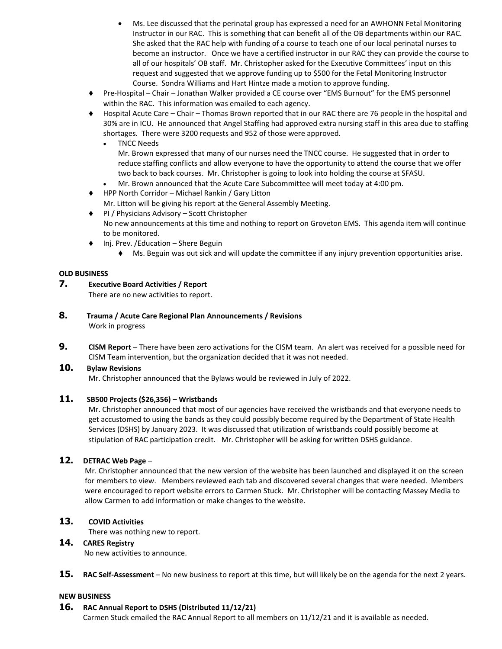- Ms. Lee discussed that the perinatal group has expressed a need for an AWHONN Fetal Monitoring Instructor in our RAC. This is something that can benefit all of the OB departments within our RAC. She asked that the RAC help with funding of a course to teach one of our local perinatal nurses to become an instructor. Once we have a certified instructor in our RAC they can provide the course to all of our hospitals' OB staff. Mr. Christopher asked for the Executive Committees' input on this request and suggested that we approve funding up to \$500 for the Fetal Monitoring Instructor Course. Sondra Williams and Hart Hintze made a motion to approve funding.
- ⧫ Pre-Hospital Chair Jonathan Walker provided a CE course over "EMS Burnout" for the EMS personnel within the RAC. This information was emailed to each agency.
- ⧫ Hospital Acute Care Chair Thomas Brown reported that in our RAC there are 76 people in the hospital and 30% are in ICU. He announced that Angel Staffing had approved extra nursing staff in this area due to staffing shortages. There were 3200 requests and 952 of those were approved.
	- TNCC Needs

Mr. Brown expressed that many of our nurses need the TNCC course. He suggested that in order to reduce staffing conflicts and allow everyone to have the opportunity to attend the course that we offer two back to back courses. Mr. Christopher is going to look into holding the course at SFASU.

- Mr. Brown announced that the Acute Care Subcommittee will meet today at 4:00 pm.
- ◆ HPP North Corridor Michael Rankin / Gary Litton
- Mr. Litton will be giving his report at the General Assembly Meeting.
- ◆ PI / Physicians Advisory Scott Christopher No new announcements at this time and nothing to report on Groveton EMS. This agenda item will continue to be monitored.
- ⧫ Inj. Prev. /Education Shere Beguin
	- ⧫ Ms. Beguin was out sick and will update the committee if any injury prevention opportunities arise.

#### **OLD BUSINESS**

### **7. Executive Board Activities / Report**

There are no new activities to report.

- **8. Trauma / Acute Care Regional Plan Announcements / Revisions** Work in progress
- **9. CISM Report** There have been zero activations for the CISM team. An alert was received for a possible need for CISM Team intervention, but the organization decided that it was not needed.

#### **10. Bylaw Revisions**

Mr. Christopher announced that the Bylaws would be reviewed in July of 2022.

### **11. SB500 Projects (\$26,356) – Wristbands**

Mr. Christopher announced that most of our agencies have received the wristbands and that everyone needs to get accustomed to using the bands as they could possibly become required by the Department of State Health Services (DSHS) by January 2023. It was discussed that utilization of wristbands could possibly become at stipulation of RAC participation credit. Mr. Christopher will be asking for written DSHS guidance.

## **12. DETRAC Web Page** –

Mr. Christopher announced that the new version of the website has been launched and displayed it on the screen for members to view. Members reviewed each tab and discovered several changes that were needed. Members were encouraged to report website errors to Carmen Stuck. Mr. Christopher will be contacting Massey Media to allow Carmen to add information or make changes to the website.

#### **13. COVID Activities**

There was nothing new to report.

#### **14. CARES Registry**

No new activities to announce.

**15. RAC Self-Assessment** – No new business to report at this time, but will likely be on the agenda for the next 2 years.

#### **NEW BUSINESS**

## **16. RAC Annual Report to DSHS (Distributed 11/12/21)**

Carmen Stuck emailed the RAC Annual Report to all members on 11/12/21 and it is available as needed.